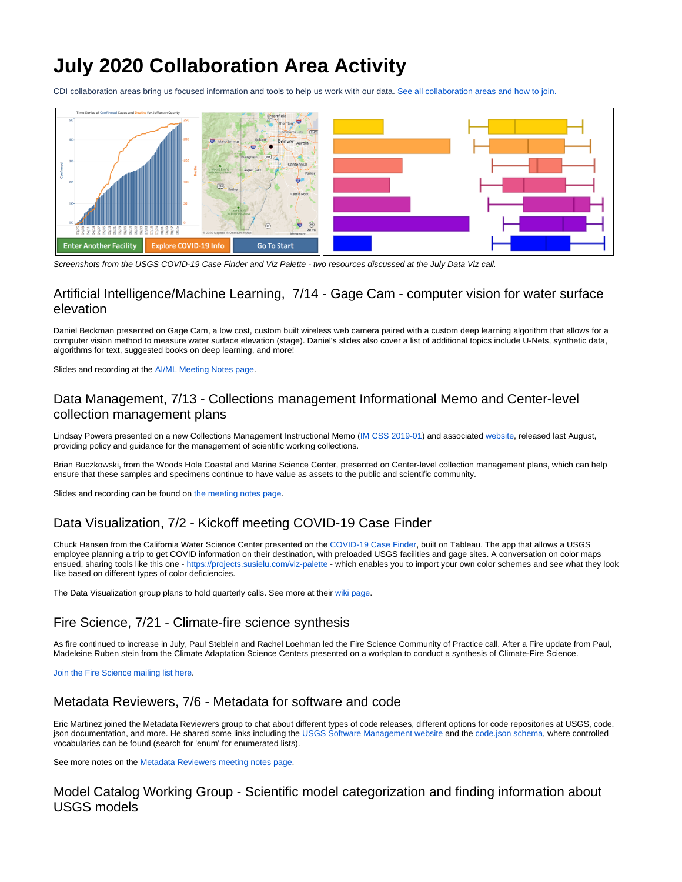# **July 2020 Collaboration Area Activity**

CDI collaboration areas bring us focused information and tools to help us work with our data. [See all collaboration areas and how to join.](https://my.usgs.gov/confluence/x/yhv1I)



Screenshots from the USGS COVID-19 Case Finder and Viz Palette - two resources discussed at the July Data Viz call.

#### Artificial Intelligence/Machine Learning, 7/14 - Gage Cam - computer vision for water surface elevation

Daniel Beckman presented on Gage Cam, a low cost, custom built wireless web camera paired with a custom deep learning algorithm that allows for a computer vision method to measure water surface elevation (stage). Daniel's slides also cover a list of additional topics include U-Nets, synthetic data, algorithms for text, suggested books on deep learning, and more!

Slides and recording at the [AI/ML Meeting Notes page](https://my.usgs.gov/confluence/x/rpGVJ).

#### Data Management, 7/13 - Collections management Informational Memo and Center-level collection management plans

Lindsay Powers presented on a new Collections Management Instructional Memo ([IM CSS 2019-01](https://www.usgs.gov/about/organization/science-support/survey-manual/im-css-2019-01)) and associated [website,](https://www.usgs.gov/products/scientific-collections/guide-planning-and-managing-scientific-working-collections-us#Destroy) released last August, providing policy and guidance for the management of scientific working collections.

Brian Buczkowski, from the Woods Hole Coastal and Marine Science Center, presented on Center-level collection management plans, which can help ensure that these samples and specimens continue to have value as assets to the public and scientific community.

Slides and recording can be found on [the meeting notes page.](https://my.usgs.gov/confluence/x/OSvlJw)

## Data Visualization, 7/2 - Kickoff meeting COVID-19 Case Finder

Chuck Hansen from the California Water Science Center presented on the [COVID-19 Case Finder,](https://tableau.usgs.gov/views/USGS_COVID_APPLET/DB1?%3AshowAppBanner=false&%3Adisplay_count=n&%3AshowVizHome=n&%3Aorigin=viz_share_link&%3AisGuestRedirectFromVizportal=y&%3Aembed=y) built on Tableau. The app that allows a USGS employee planning a trip to get COVID information on their destination, with preloaded USGS facilities and gage sites. A conversation on color maps ensued, sharing tools like this one - <https://projects.susielu.com/viz-palette> - which enables you to import your own color schemes and see what they look like based on different types of color deficiencies.

The Data Visualization group plans to hold quarterly calls. See more at their [wiki page](https://my.usgs.gov/confluence/display/cdi/Data+Visualization+Collaboration+Area).

#### Fire Science, 7/21 - Climate-fire science synthesis

As fire continued to increase in July, Paul Steblein and Rachel Loehman led the Fire Science Community of Practice call. After a Fire update from Paul, Madeleine Ruben stein from the Climate Adaptation Science Centers presented on a workplan to conduct a synthesis of Climate-Fire Science.

[Join the Fire Science mailing list here](https://listserv.usgs.gov/mailman/listinfo/cdi-firescience).

#### Metadata Reviewers, 7/6 - Metadata for software and code

Eric Martinez joined the Metadata Reviewers group to chat about different types of code releases, different options for code repositories at USGS, code. json documentation, and more. He shared some links including the [USGS Software Management website](https://www.usgs.gov/products/software/software-management) and the [code.json schema](https://github.com/GSA/code-gov-data/blob/master/schemas/schema-2.0.0.json), where controlled vocabularies can be found (search for 'enum' for enumerated lists).

See more notes on the [Metadata Reviewers meeting notes page](https://my.usgs.gov/confluence/x/a4MeIQ).

Model Catalog Working Group - Scientific model categorization and finding information about USGS models